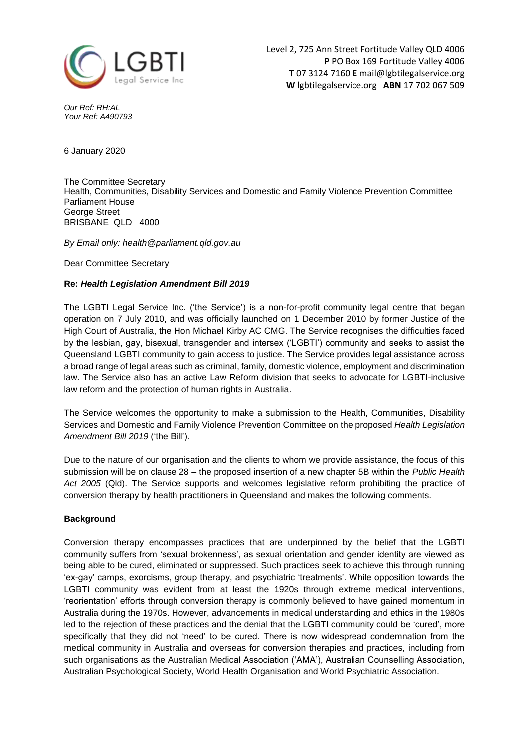

*Our Ref: RH:AL Your Ref: A490793*

6 January 2020

The Committee Secretary Health, Communities, Disability Services and Domestic and Family Violence Prevention Committee Parliament House George Street BRISBANE QLD 4000

*By Email only: health@parliament.qld.gov.au*

Dear Committee Secretary

## **Re:** *Health Legislation Amendment Bill 2019*

The LGBTI Legal Service Inc. ('the Service') is a non-for-profit community legal centre that began operation on 7 July 2010, and was officially launched on 1 December 2010 by former Justice of the High Court of Australia, the Hon Michael Kirby AC CMG. The Service recognises the difficulties faced by the lesbian, gay, bisexual, transgender and intersex ('LGBTI') community and seeks to assist the Queensland LGBTI community to gain access to justice. The Service provides legal assistance across a broad range of legal areas such as criminal, family, domestic violence, employment and discrimination law. The Service also has an active Law Reform division that seeks to advocate for LGBTI-inclusive law reform and the protection of human rights in Australia.

The Service welcomes the opportunity to make a submission to the Health, Communities, Disability Services and Domestic and Family Violence Prevention Committee on the proposed *Health Legislation Amendment Bill 2019* ('the Bill').

Due to the nature of our organisation and the clients to whom we provide assistance, the focus of this submission will be on clause 28 – the proposed insertion of a new chapter 5B within the *Public Health Act 2005* (Qld). The Service supports and welcomes legislative reform prohibiting the practice of conversion therapy by health practitioners in Queensland and makes the following comments.

## **Background**

Conversion therapy encompasses practices that are underpinned by the belief that the LGBTI community suffers from 'sexual brokenness', as sexual orientation and gender identity are viewed as being able to be cured, eliminated or suppressed. Such practices seek to achieve this through running 'ex-gay' camps, exorcisms, group therapy, and psychiatric 'treatments'. While opposition towards the LGBTI community was evident from at least the 1920s through extreme medical interventions, 'reorientation' efforts through conversion therapy is commonly believed to have gained momentum in Australia during the 1970s. However, advancements in medical understanding and ethics in the 1980s led to the rejection of these practices and the denial that the LGBTI community could be 'cured', more specifically that they did not 'need' to be cured. There is now widespread condemnation from the medical community in Australia and overseas for conversion therapies and practices, including from such organisations as the Australian Medical Association ('AMA'), Australian Counselling Association, Australian Psychological Society, World Health Organisation and World Psychiatric Association.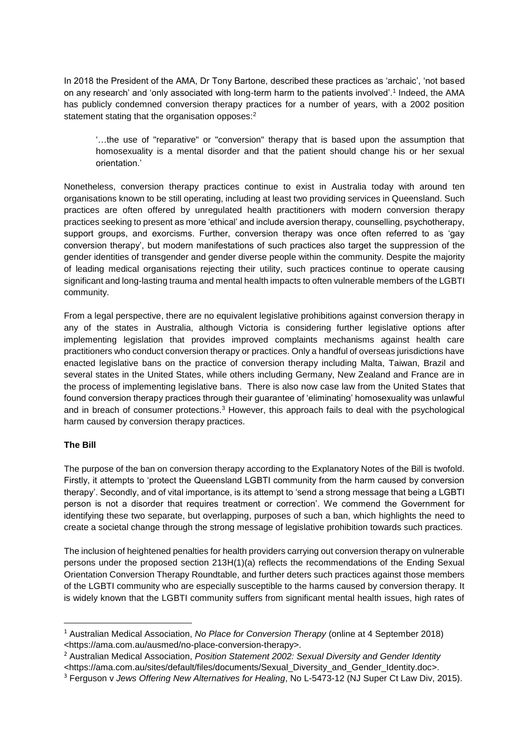In 2018 the President of the AMA, Dr Tony Bartone, described these practices as 'archaic', 'not based on any research' and 'only associated with long-term harm to the patients involved'.<sup>1</sup> Indeed, the AMA has publicly condemned conversion therapy practices for a number of years, with a 2002 position statement stating that the organisation opposes:<sup>2</sup>

'…the use of "reparative" or "conversion" therapy that is based upon the assumption that homosexuality is a mental disorder and that the patient should change his or her sexual orientation.'

Nonetheless, conversion therapy practices continue to exist in Australia today with around ten organisations known to be still operating, including at least two providing services in Queensland. Such practices are often offered by unregulated health practitioners with modern conversion therapy practices seeking to present as more 'ethical' and include aversion therapy, counselling, psychotherapy, support groups, and exorcisms. Further, conversion therapy was once often referred to as 'gay conversion therapy', but modern manifestations of such practices also target the suppression of the gender identities of transgender and gender diverse people within the community. Despite the majority of leading medical organisations rejecting their utility, such practices continue to operate causing significant and long-lasting trauma and mental health impacts to often vulnerable members of the LGBTI community.

From a legal perspective, there are no equivalent legislative prohibitions against conversion therapy in any of the states in Australia, although Victoria is considering further legislative options after implementing legislation that provides improved complaints mechanisms against health care practitioners who conduct conversion therapy or practices. Only a handful of overseas jurisdictions have enacted legislative bans on the practice of conversion therapy including Malta, Taiwan, Brazil and several states in the United States, while others including Germany, New Zealand and France are in the process of implementing legislative bans. There is also now case law from the United States that found conversion therapy practices through their guarantee of 'eliminating' homosexuality was unlawful and in breach of consumer protections.<sup>3</sup> However, this approach fails to deal with the psychological harm caused by conversion therapy practices.

## **The Bill**

**.** 

The purpose of the ban on conversion therapy according to the Explanatory Notes of the Bill is twofold. Firstly, it attempts to 'protect the Queensland LGBTI community from the harm caused by conversion therapy'. Secondly, and of vital importance, is its attempt to 'send a strong message that being a LGBTI person is not a disorder that requires treatment or correction'. We commend the Government for identifying these two separate, but overlapping, purposes of such a ban, which highlights the need to create a societal change through the strong message of legislative prohibition towards such practices.

The inclusion of heightened penalties for health providers carrying out conversion therapy on vulnerable persons under the proposed section 213H(1)(a) reflects the recommendations of the Ending Sexual Orientation Conversion Therapy Roundtable, and further deters such practices against those members of the LGBTI community who are especially susceptible to the harms caused by conversion therapy. It is widely known that the LGBTI community suffers from significant mental health issues, high rates of

<sup>1</sup> Australian Medical Association, *No Place for Conversion Therapy* (online at 4 September 2018) <https://ama.com.au/ausmed/no-place-conversion-therapy>.

<sup>2</sup> Australian Medical Association, *Position Statement 2002: Sexual Diversity and Gender Identity* 

<sup>&</sup>lt;https://ama.com.au/sites/default/files/documents/Sexual\_Diversity\_and\_Gender\_Identity.doc>.

<sup>3</sup> Ferguson v *Jews Offering New Alternatives for Healing*, No L-5473-12 (NJ Super Ct Law Div, 2015).